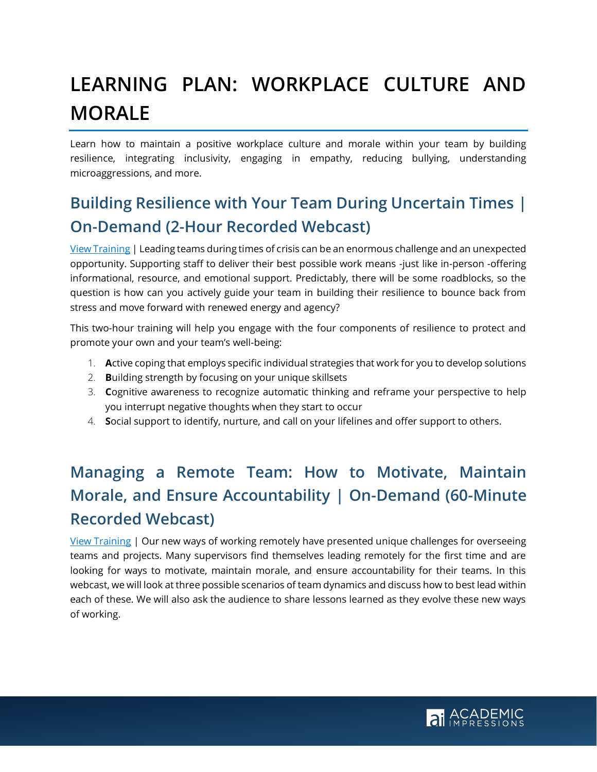# **LEARNING PLAN: WORKPLACE CULTURE AND MORALE**

Learn how to maintain a positive workplace culture and morale within your team by building resilience, integrating inclusivity, engaging in empathy, reducing bullying, understanding microaggressions, and more.

## **Building Resilience with Your Team During Uncertain Times | On-Demand (2-Hour Recorded Webcast)**

[View Training](https://www.academicimpressions.com/product/0620-team-resilience/) | Leading teams during times of crisis can be an enormous challenge and an unexpected opportunity. Supporting staff to deliver their best possible work means -just like in-person -offering informational, resource, and emotional support. Predictably, there will be some roadblocks, so the question is how can you actively guide your team in building their resilience to bounce back from stress and move forward with renewed energy and agency?

This two-hour training will help you engage with the four components of resilience to protect and promote your own and your team's well-being:

- 1. **A**ctive coping that employs specific individual strategies that work for you to develop solutions
- 2. **B**uilding strength by focusing on your unique skillsets
- 3. **C**ognitive awareness to recognize automatic thinking and reframe your perspective to help you interrupt negative thoughts when they start to occur
- 4. **S**ocial support to identify, nurture, and call on your lifelines and offer support to others.

## **Managing a Remote Team: How to Motivate, Maintain Morale, and Ensure Accountability | On-Demand (60-Minute Recorded Webcast)**

[View Training](https://www.academicimpressions.com/product/0620-managing-remote/) | Our new ways of working remotely have presented unique challenges for overseeing teams and projects. Many supervisors find themselves leading remotely for the first time and are looking for ways to motivate, maintain morale, and ensure accountability for their teams. In this webcast, we will look at three possible scenarios of team dynamics and discuss how to best lead within each of these. We will also ask the audience to share lessons learned as they evolve these new ways of working.

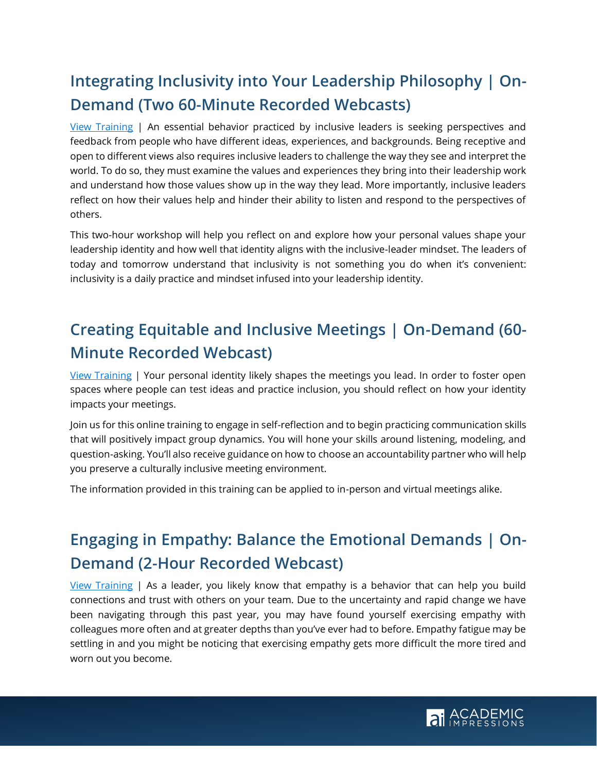# **Integrating Inclusivity into Your Leadership Philosophy | On-Demand (Two 60-Minute Recorded Webcasts)**

[View Training](https://www.academicimpressions.com/product/1120-inclusive-values/) | An essential behavior practiced by inclusive leaders is seeking perspectives and feedback from people who have different ideas, experiences, and backgrounds. Being receptive and open to different views also requires inclusive leaders to challenge the way they see and interpret the world. To do so, they must examine the values and experiences they bring into their leadership work and understand how those values show up in the way they lead. More importantly, inclusive leaders reflect on how their values help and hinder their ability to listen and respond to the perspectives of others.

This two-hour workshop will help you reflect on and explore how your personal values shape your leadership identity and how well that identity aligns with the inclusive-leader mindset. The leaders of today and tomorrow understand that inclusivity is not something you do when it's convenient: inclusivity is a daily practice and mindset infused into your leadership identity.

# **Creating Equitable and Inclusive Meetings | On-Demand (60- Minute Recorded Webcast)**

[View Training](https://www.academicimpressions.com/product/1020-inclusive-mtgs/) | Your personal identity likely shapes the meetings you lead. In order to foster open spaces where people can test ideas and practice inclusion, you should reflect on how your identity impacts your meetings.

Join us for this online training to engage in self-reflection and to begin practicing communication skills that will positively impact group dynamics. You will hone your skills around listening, modeling, and question-asking. You'll also receive guidance on how to choose an accountability partner who will help you preserve a culturally inclusive meeting environment.

The information provided in this training can be applied to in-person and virtual meetings alike.

## **Engaging in Empathy: Balance the Emotional Demands | On-Demand (2-Hour Recorded Webcast)**

[View Training](https://www.academicimpressions.com/product/1020-empathy-fatigue/) | As a leader, you likely know that empathy is a behavior that can help you build connections and trust with others on your team. Due to the uncertainty and rapid change we have been navigating through this past year, you may have found yourself exercising empathy with colleagues more often and at greater depths than you've ever had to before. Empathy fatigue may be settling in and you might be noticing that exercising empathy gets more difficult the more tired and worn out you become.